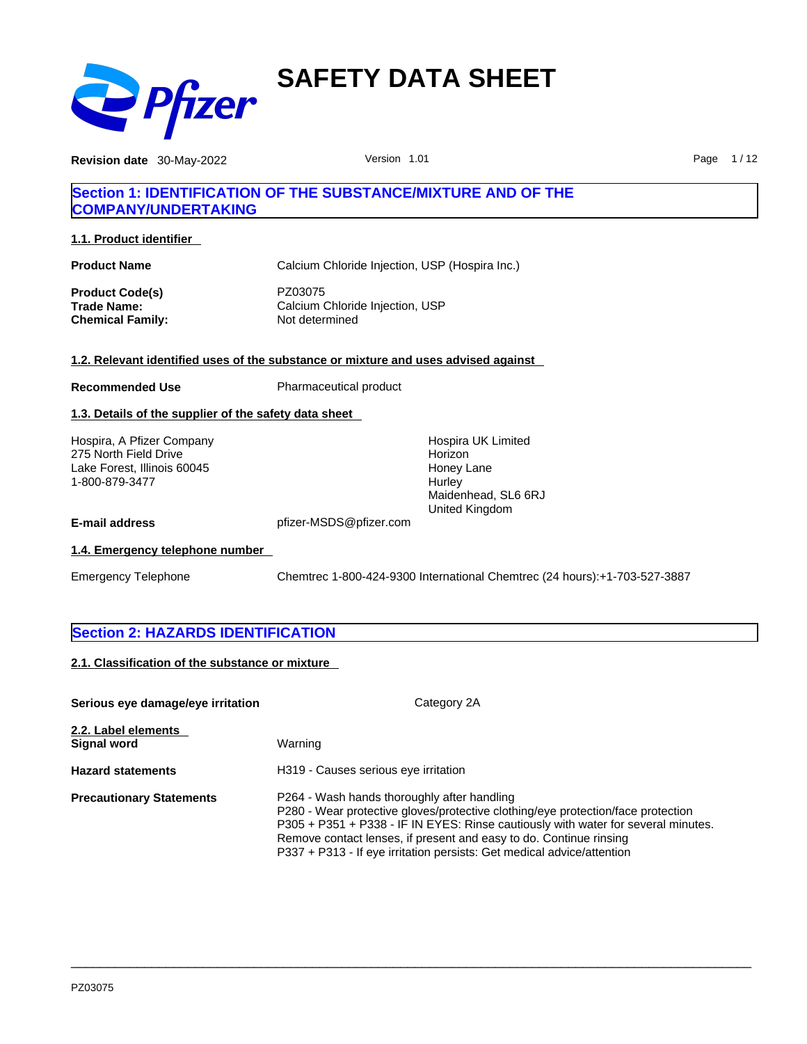

**Revision date** 30-May-2022 **Page 1/12** Version 1.01 Page 1/12

## **Section 1: IDENTIFICATION OF THE SUBSTANCE/MIXTURE AND OF THE COMPANY/UNDERTAKING**

**1.1. Product identifier** 

| <b>Product Name</b> | Calcium Chloride Injection, USP (Hospira Inc.) |
|---------------------|------------------------------------------------|
| Product Code(s)     | PZ03075                                        |
| Trade Name:         | Calcium Chloride Injection, USP                |
| Chemical Family:    | Not determined                                 |

## **1.2. Relevant identified uses of the substance or mixture and uses advised against**

**Recommended Use** Pharmaceutical product

## **1.3. Details of the supplier of the safety data sheet**

Hospira, A Pfizer Company 275 North Field Drive Lake Forest, Illinois 60045 1-800-879-3477

Hospira UK Limited Horizon Honey Lane **Hurley** Maidenhead, SL6 6RJ United Kingdom

**E-mail address** pfizer-MSDS@pfizer.com

## **1.4. Emergency telephone number**

Emergency Telephone Chemtrec 1-800-424-9300 International Chemtrec (24 hours):+1-703-527-3887

## **Section 2: HAZARDS IDENTIFICATION**

**2.1. Classification of the substance or mixture**

| Serious eye damage/eye irritation  | Category 2A                                                                                                                                                                                                                                                                                                                                                          |
|------------------------------------|----------------------------------------------------------------------------------------------------------------------------------------------------------------------------------------------------------------------------------------------------------------------------------------------------------------------------------------------------------------------|
| 2.2. Label elements<br>Signal word | Warning                                                                                                                                                                                                                                                                                                                                                              |
| <b>Hazard statements</b>           | H319 - Causes serious eye irritation                                                                                                                                                                                                                                                                                                                                 |
| <b>Precautionary Statements</b>    | P264 - Wash hands thoroughly after handling<br>P280 - Wear protective gloves/protective clothing/eye protection/face protection<br>P305 + P351 + P338 - IF IN EYES: Rinse cautiously with water for several minutes.<br>Remove contact lenses, if present and easy to do. Continue rinsing<br>P337 + P313 - If eye irritation persists: Get medical advice/attention |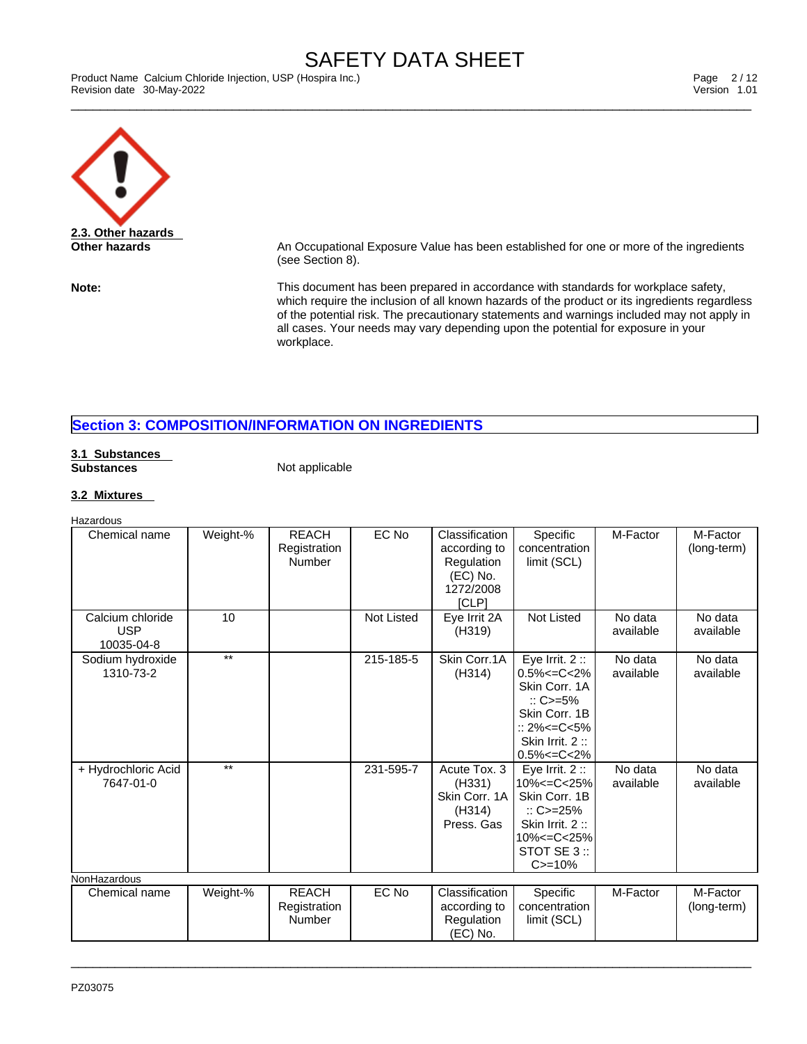\_\_\_\_\_\_\_\_\_\_\_\_\_\_\_\_\_\_\_\_\_\_\_\_\_\_\_\_\_\_\_\_\_\_\_\_\_\_\_\_\_\_\_\_\_\_\_\_\_\_\_\_\_\_\_\_\_\_\_\_\_\_\_\_\_\_\_\_\_\_\_\_\_\_\_\_\_\_\_\_\_\_\_\_\_\_\_\_\_\_\_\_\_ Product Name Calcium Chloride Injection, USP (Hospira Inc.) Page 2 / 12 Revision date 30-May-2022 Version 1.01



**Other hazards An Occupational Exposure Value has been established for one or more of the ingredients** (see Section 8).

**Note:** This document has been prepared in accordance with standards for workplace safety, which require the inclusion of all known hazards of the product or its ingredients regardless of the potential risk. The precautionary statements and warnings included may not apply in all cases. Your needs may vary depending upon the potential for exposure in your workplace.

## **Section 3: COMPOSITION/INFORMATION ON INGREDIENTS**

#### **3.1 Substances Substances** Not applicable

## **3.2 Mixtures**

| Hazardous                                    |          |                                        |            |                                                                                |                                                                                                                                                                  |                      |                         |
|----------------------------------------------|----------|----------------------------------------|------------|--------------------------------------------------------------------------------|------------------------------------------------------------------------------------------------------------------------------------------------------------------|----------------------|-------------------------|
| Chemical name                                | Weight-% | <b>REACH</b><br>Registration<br>Number | EC No      | Classification<br>according to<br>Regulation<br>(EC) No.<br>1272/2008<br>[CLP] | Specific<br>concentration<br>limit (SCL)                                                                                                                         | M-Factor             | M-Factor<br>(long-term) |
| Calcium chloride<br><b>USP</b><br>10035-04-8 | 10       |                                        | Not Listed | Eye Irrit 2A<br>(H319)                                                         | <b>Not Listed</b>                                                                                                                                                | No data<br>available | No data<br>available    |
| Sodium hydroxide<br>1310-73-2                | $***$    |                                        | 215-185-5  | Skin Corr.1A<br>(H314)                                                         | Eye Irrit. $2::$<br>$0.5\% < = C < 2\%$<br>Skin Corr. 1A<br>$\therefore$ C>=5%<br>Skin Corr, 1B<br>$:: 2\% < = C < 5\%$<br>Skin Irrit. 2:<br>$0.5\% < = C < 2\%$ | No data<br>available | No data<br>available    |
| + Hydrochloric Acid<br>7647-01-0             | $**$     |                                        | 231-595-7  | Acute Tox. 3<br>(H331)<br>Skin Corr, 1A<br>(H314)<br>Press, Gas                | Eye Irrit. $2::$<br>10% <= C< 25%<br>Skin Corr, 1B<br>$\therefore$ C>=25%<br>Skin Irrit. 2:<br>10% <= C< 25%<br>STOT SE 3 ::<br>$C = 10%$                        | No data<br>available | No data<br>available    |
| NonHazardous                                 |          |                                        |            |                                                                                |                                                                                                                                                                  |                      |                         |
| Chemical name                                | Weight-% | <b>REACH</b><br>Registration<br>Number | EC No      | Classification<br>according to<br>Regulation<br>(EC) No.                       | Specific<br>concentration<br>limit (SCL)                                                                                                                         | M-Factor             | M-Factor<br>(long-term) |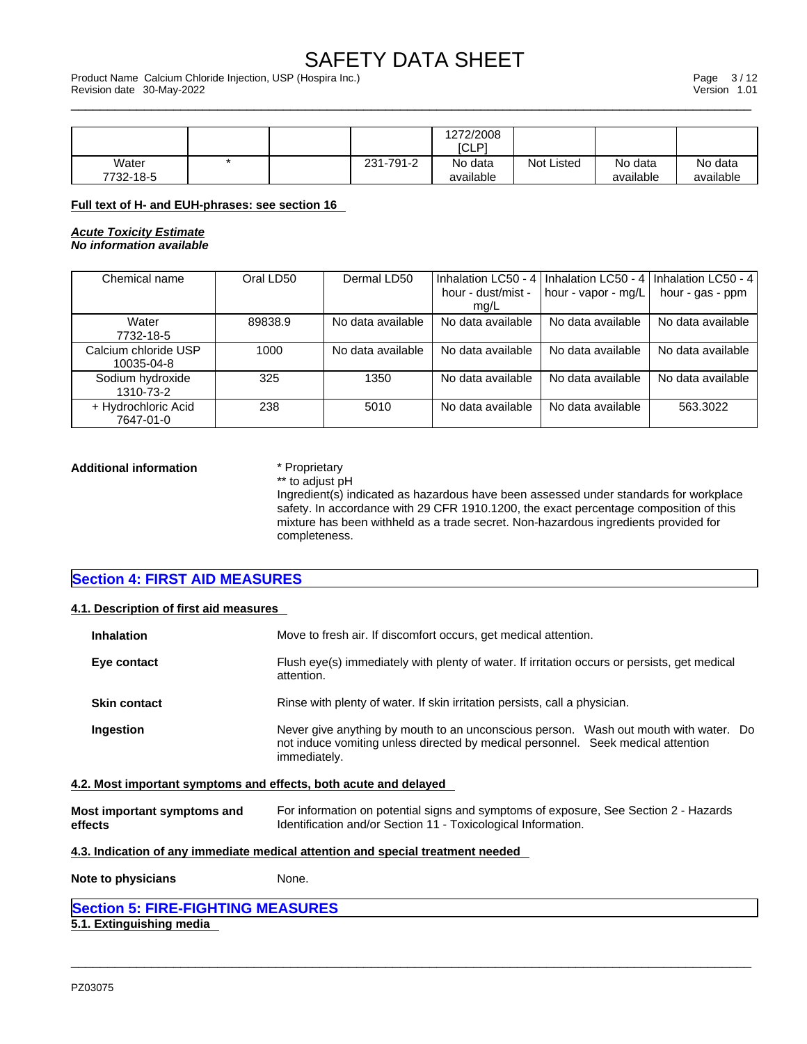\_\_\_\_\_\_\_\_\_\_\_\_\_\_\_\_\_\_\_\_\_\_\_\_\_\_\_\_\_\_\_\_\_\_\_\_\_\_\_\_\_\_\_\_\_\_\_\_\_\_\_\_\_\_\_\_\_\_\_\_\_\_\_\_\_\_\_\_\_\_\_\_\_\_\_\_\_\_\_\_\_\_\_\_\_\_\_\_\_\_\_\_\_ Product Name Calcium Chloride Injection, USP (Hospira Inc.) Page 3 / 12 Revision date 30-May-2022 Version 1.01

|                    |  |           | 1272/2008<br>[CLP]   |                   |                      |                      |
|--------------------|--|-----------|----------------------|-------------------|----------------------|----------------------|
| Water<br>7732-18-5 |  | 231-791-2 | No data<br>available | <b>Not Listed</b> | No data<br>available | No data<br>available |

#### **Full text of H- and EUH-phrases: see section 16**

*Acute Toxicity Estimate No information available* 

| Chemical name                      | Oral LD50 | Dermal LD50       | Inhalation LC50 - 4        | I Inhalation LC50 - 4 I | Inhalation LC50 - 4 |
|------------------------------------|-----------|-------------------|----------------------------|-------------------------|---------------------|
|                                    |           |                   | hour - dust/mist -<br>ma/L | hour - vapor - mg/L     | hour - gas - ppm    |
| Water<br>7732-18-5                 | 89838.9   | No data available | No data available          | No data available       | No data available   |
| Calcium chloride USP<br>10035-04-8 | 1000      | No data available | No data available          | No data available       | No data available   |
| Sodium hydroxide<br>1310-73-2      | 325       | 1350              | No data available          | No data available       | No data available   |
| + Hydrochloric Acid<br>7647-01-0   | 238       | 5010              | No data available          | No data available       | 563.3022            |

**Additional information** \* Proprietary \*\* to adjust pH

Ingredient(s) indicated as hazardous have been assessed under standards for workplace safety. In accordance with 29 CFR 1910.1200, the exact percentage composition of this mixture has been withheld as a trade secret. Non-hazardous ingredients provided for completeness.

**Section 4: FIRST AID MEASURES** 

## **4.1. Description of first aid measures**

| <b>Inhalation</b>                                                | Move to fresh air. If discomfort occurs, get medical attention.                                                                                                                          |  |  |  |  |  |
|------------------------------------------------------------------|------------------------------------------------------------------------------------------------------------------------------------------------------------------------------------------|--|--|--|--|--|
| Eye contact                                                      | Flush eye(s) immediately with plenty of water. If irritation occurs or persists, get medical<br>attention.                                                                               |  |  |  |  |  |
| <b>Skin contact</b>                                              | Rinse with plenty of water. If skin irritation persists, call a physician.                                                                                                               |  |  |  |  |  |
| Ingestion                                                        | Never give anything by mouth to an unconscious person. Wash out mouth with water. Do<br>not induce vomiting unless directed by medical personnel. Seek medical attention<br>immediately. |  |  |  |  |  |
| 4.2. Most important symptoms and effects, both acute and delayed |                                                                                                                                                                                          |  |  |  |  |  |
| Most important symptoms and<br>effects                           | For information on potential signs and symptoms of exposure, See Section 2 - Hazards<br>Identification and/or Section 11 - Toxicological Information.                                    |  |  |  |  |  |

 $\_$  ,  $\_$  ,  $\_$  ,  $\_$  ,  $\_$  ,  $\_$  ,  $\_$  ,  $\_$  ,  $\_$  ,  $\_$  ,  $\_$  ,  $\_$  ,  $\_$  ,  $\_$  ,  $\_$  ,  $\_$  ,  $\_$  ,  $\_$  ,  $\_$  ,  $\_$  ,  $\_$  ,  $\_$  ,  $\_$  ,  $\_$  ,  $\_$  ,  $\_$  ,  $\_$  ,  $\_$  ,  $\_$  ,  $\_$  ,  $\_$  ,  $\_$  ,  $\_$  ,  $\_$  ,  $\_$  ,  $\_$  ,  $\_$  ,

**4.3. Indication of any immediate medical attention and special treatment needed**

**Note to physicians** None.

## **Section 5: FIRE-FIGHTING MEASURES**

**5.1. Extinguishing media**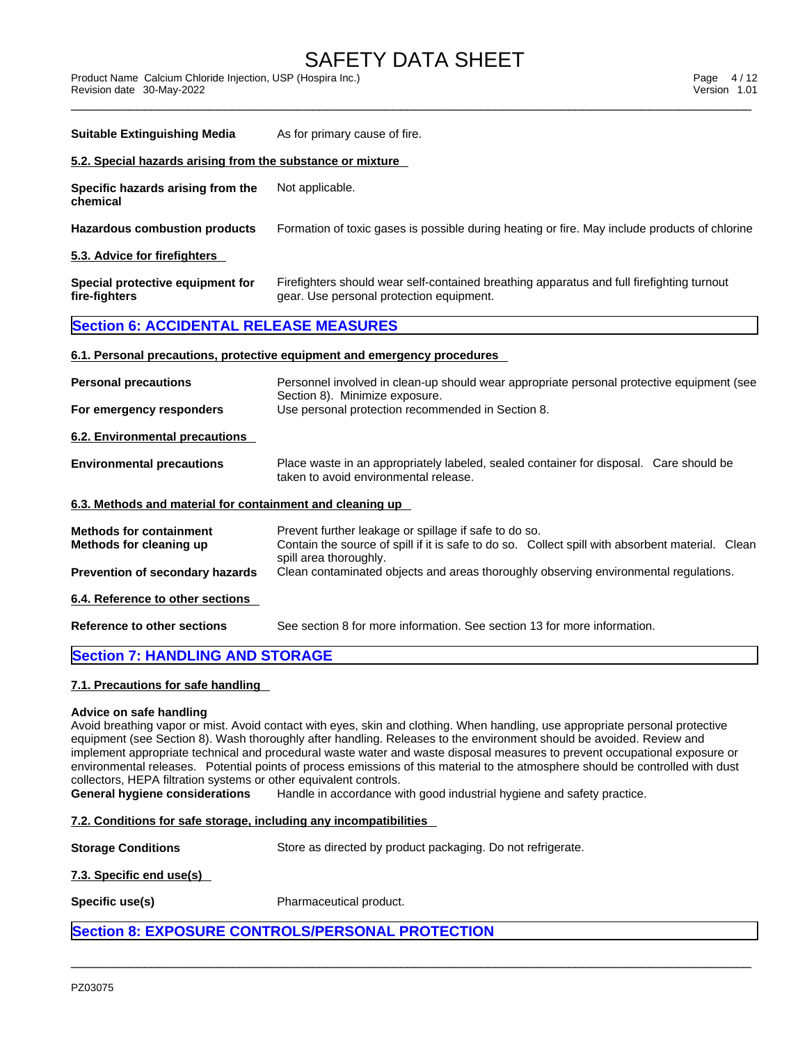\_\_\_\_\_\_\_\_\_\_\_\_\_\_\_\_\_\_\_\_\_\_\_\_\_\_\_\_\_\_\_\_\_\_\_\_\_\_\_\_\_\_\_\_\_\_\_\_\_\_\_\_\_\_\_\_\_\_\_\_\_\_\_\_\_\_\_\_\_\_\_\_\_\_\_\_\_\_\_\_\_\_\_\_\_\_\_\_\_\_\_\_\_ Product Name Calcium Chloride Injection, USP (Hospira Inc.) Page 4 / 12 Revision date 30-May-2022 Version 1.01

| <b>Suitable Extinguishing Media</b>                                                                                                   | As for primary cause of fire.                                                                                                                                                       |  |  |  |  |
|---------------------------------------------------------------------------------------------------------------------------------------|-------------------------------------------------------------------------------------------------------------------------------------------------------------------------------------|--|--|--|--|
| 5.2. Special hazards arising from the substance or mixture                                                                            |                                                                                                                                                                                     |  |  |  |  |
| Specific hazards arising from the<br>chemical                                                                                         | Not applicable.                                                                                                                                                                     |  |  |  |  |
| <b>Hazardous combustion products</b><br>Formation of toxic gases is possible during heating or fire. May include products of chlorine |                                                                                                                                                                                     |  |  |  |  |
| 5.3. Advice for firefighters                                                                                                          |                                                                                                                                                                                     |  |  |  |  |
| Special protective equipment for<br>fire-fighters                                                                                     | Firefighters should wear self-contained breathing apparatus and full firefighting turnout<br>gear. Use personal protection equipment.                                               |  |  |  |  |
| <b>Section 6: ACCIDENTAL RELEASE MEASURES</b>                                                                                         |                                                                                                                                                                                     |  |  |  |  |
|                                                                                                                                       | 6.1. Personal precautions, protective equipment and emergency procedures                                                                                                            |  |  |  |  |
| <b>Personal precautions</b>                                                                                                           | Personnel involved in clean-up should wear appropriate personal protective equipment (see<br>Section 8). Minimize exposure.                                                         |  |  |  |  |
| For emergency responders                                                                                                              | Use personal protection recommended in Section 8.                                                                                                                                   |  |  |  |  |
| <b>6.2. Environmental precautions</b>                                                                                                 |                                                                                                                                                                                     |  |  |  |  |
| <b>Environmental precautions</b>                                                                                                      | Place waste in an appropriately labeled, sealed container for disposal. Care should be<br>taken to avoid environmental release.                                                     |  |  |  |  |
| 6.3. Methods and material for containment and cleaning up                                                                             |                                                                                                                                                                                     |  |  |  |  |
| <b>Methods for containment</b><br>Methods for cleaning up                                                                             | Prevent further leakage or spillage if safe to do so.<br>Contain the source of spill if it is safe to do so. Collect spill with absorbent material. Clean<br>spill area thoroughly. |  |  |  |  |
| Prevention of secondary hazards                                                                                                       | Clean contaminated objects and areas thoroughly observing environmental regulations.                                                                                                |  |  |  |  |
| 6.4. Reference to other sections                                                                                                      |                                                                                                                                                                                     |  |  |  |  |
| <b>Reference to other sections</b>                                                                                                    | See section 8 for more information. See section 13 for more information.                                                                                                            |  |  |  |  |
| <b>Section 7: HANDLING AND STORAGE</b>                                                                                                |                                                                                                                                                                                     |  |  |  |  |

## **7.1. Precautions for safe handling**

## **Advice on safe handling**

Avoid breathing vapor or mist. Avoid contact with eyes, skin and clothing. When handling, use appropriate personal protective equipment (see Section 8). Wash thoroughly after handling. Releases to the environment should be avoided. Review and implement appropriate technical and procedural waste water and waste disposal measures to prevent occupational exposure or environmental releases. Potential points of process emissions of this material to the atmosphere should be controlled with dust collectors, HEPA filtration systems or other equivalent controls.

 $\_$  ,  $\_$  ,  $\_$  ,  $\_$  ,  $\_$  ,  $\_$  ,  $\_$  ,  $\_$  ,  $\_$  ,  $\_$  ,  $\_$  ,  $\_$  ,  $\_$  ,  $\_$  ,  $\_$  ,  $\_$  ,  $\_$  ,  $\_$  ,  $\_$  ,  $\_$  ,  $\_$  ,  $\_$  ,  $\_$  ,  $\_$  ,  $\_$  ,  $\_$  ,  $\_$  ,  $\_$  ,  $\_$  ,  $\_$  ,  $\_$  ,  $\_$  ,  $\_$  ,  $\_$  ,  $\_$  ,  $\_$  ,  $\_$  ,

**General hygiene considerations** Handle in accordance with good industrial hygiene and safety practice.

## **7.2. Conditions for safe storage, including any incompatibilities**

**Storage Conditions** Store as directed by product packaging. Do not refrigerate.

## **7.3. Specific end use(s)**

**Specific use(s)** Pharmaceutical product.

## **Section 8: EXPOSURE CONTROLS/PERSONAL PROTECTION**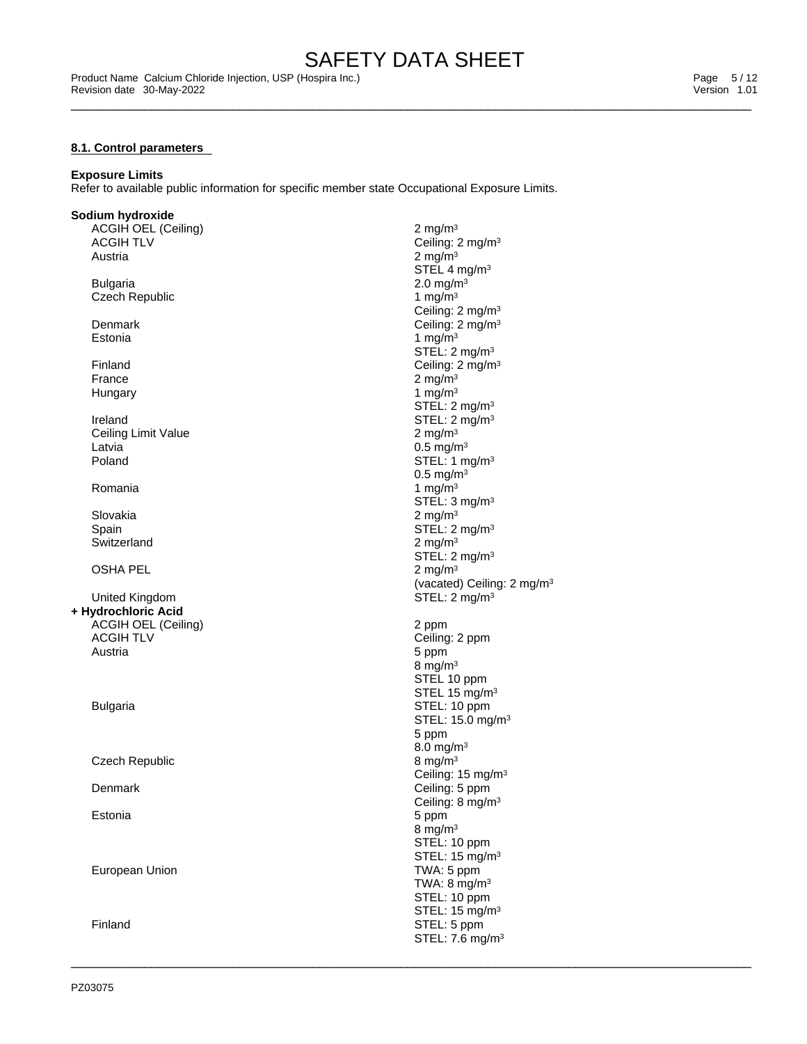#### **8.1. Control parameters**

## **Exposure Limits**

Refer to available public information for specific member state Occupational Exposure Limits.

### **Sodium hydroxide**

ACGIH OEL (Ceiling) 2 mg/m<sup>3</sup><br>ACGIH TLV Ceiling: *2* ACGIH TLV  $\qquad \qquad \qquad \qquad \qquad \text{Ceiling: } 2 \text{ mg/m}^3$ <br>Austria  $\qquad \qquad \qquad \qquad \qquad \qquad \qquad \qquad \qquad \qquad \qquad \text{Q ma/m}^3$ 

Bulgaria 2.0 mg/m<sup>3</sup><br>Czech Republic and the set of the contract of the contract of the contract of the contract of the contract of t Czech Republic

Ireland STEL: 2 mg/m<sup>3</sup> Ceiling Limit Value 2 mg/m<sup>3</sup> Latvia 2008 and 2009 and 2009 and 2009 and 2009 and 2009 and 2009 and 2009 and 2009 and 2009 and 2009 and 2009  $\sim 0.5$  mg/m<sup>3</sup> Poland STEL: 1 mg/m<sup>3</sup>

Switzerland 2 mg/m<sup>3</sup>

OSHA PEL 2 mg/m<sup>3</sup>

United Kingdom STEL: 2 mg/m<sup>3</sup> **+ Hydrochloric Acid** ACGIH OEL (Ceiling) 2 ppm ACGIH TLV Ceiling: 2 ppm Austria 5 ppm

Czech Republic 8 mg/m<sup>3</sup>

European Union **TWA:** 5 ppm

Austria  $\sim$  2 mg/m $^3$ STEL 4 mg/m<sup>3</sup> Ceiling: 2 mg/m<sup>3</sup> Denmark Ceiling: 2 mg/m<sup>3</sup> Estonia  $1 \text{ mg/m}^3$ STEL: 2 mg/m<sup>3</sup> Finland Ceiling: 2 mg/m<sup>3</sup> France  $\qquad \qquad 2 \text{ mg/m}^3$ Hungary  $1 \text{ mg/m}^3$ STEL: 2 mg/m<sup>3</sup> 0.5 mg/m<sup>3</sup> Romania  $\rm 1 \, m g/m^3$ STEL: 3 mg/m<sup>3</sup> Slovakia  $\sim$  2 mg/m $^3$ Spain Spain Spain Stell: 2 mg/m<sup>3</sup> STEL: 2 mg/m<sup>3</sup> (vacated) Ceiling: 2 mg/m<sup>3</sup> 8 mg/ $m<sup>3</sup>$ STEL 10 ppm STEL 15 mg/m<sup>3</sup> Bulgaria **Bulgaria** STEL: 10 ppm STEL: 15.0 mg/m<sup>3</sup> 5 ppm 8.0 mg/m<sup>3</sup> Ceiling: 15 mg/m<sup>3</sup> Denmark Ceiling: 5 ppm Ceiling: 8 mg/m<sup>3</sup> Estonia 5 ppm 8 mg/ $m<sup>3</sup>$ STEL: 10 ppm STEL: 15 mg/m<sup>3</sup> TWA: 8 mg/m<sup>3</sup> STEL: 10 ppm STEL: 15 mg/m<sup>3</sup> Finland STEL: 5 ppm

STEL: 7.6 mg/m<sup>3</sup>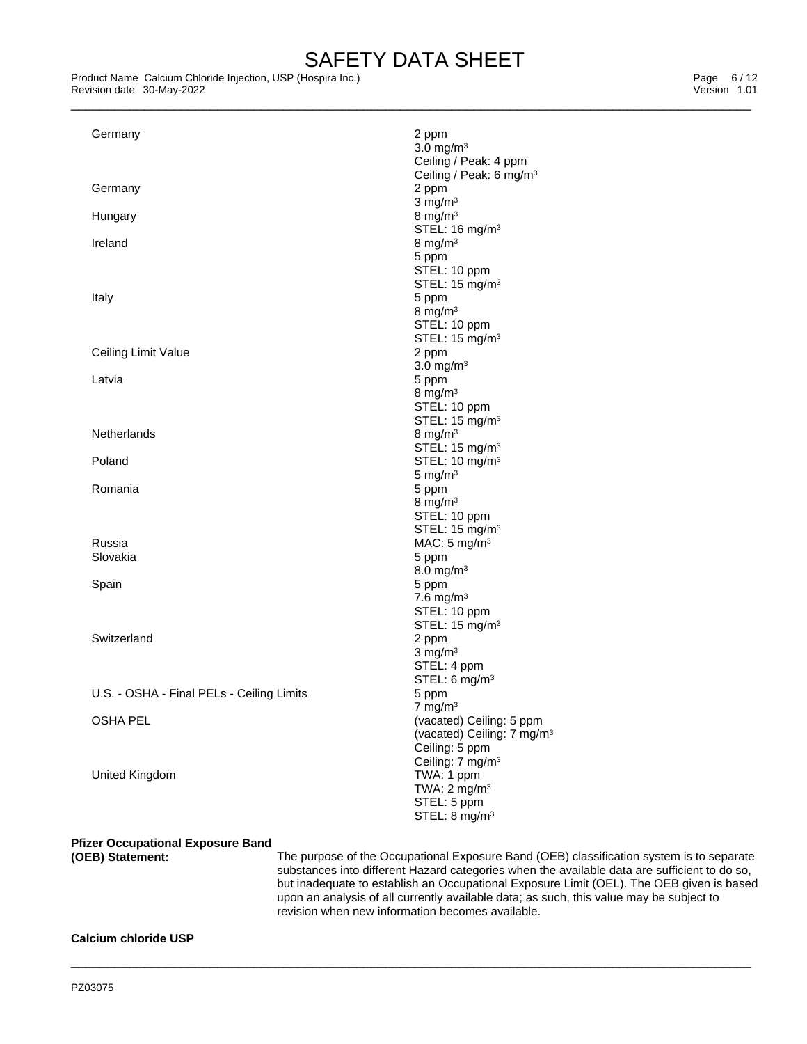Product Name Calcium Chloride Injection, USP (Hospira Inc.)<br>
Revision date 30-May-2022<br>
Version 1.01 Revision date 30-May-2022

| Germany                                   | 2 ppm<br>$3.0$ mg/m <sup>3</sup>                                                                                                            |
|-------------------------------------------|---------------------------------------------------------------------------------------------------------------------------------------------|
|                                           | Ceiling / Peak: 4 ppm                                                                                                                       |
| Germany                                   | Ceiling / Peak: 6 mg/m <sup>3</sup><br>2 ppm                                                                                                |
|                                           | $3$ mg/m <sup>3</sup>                                                                                                                       |
| Hungary                                   | 8 mg/m $3$                                                                                                                                  |
|                                           | STEL: 16 mg/m <sup>3</sup>                                                                                                                  |
| Ireland                                   | 8 mg/m $3$<br>5 ppm                                                                                                                         |
|                                           | STEL: 10 ppm                                                                                                                                |
|                                           | STEL: 15 mg/m <sup>3</sup>                                                                                                                  |
| Italy                                     | 5 ppm                                                                                                                                       |
|                                           | 8 mg/m $3$<br>STEL: 10 ppm                                                                                                                  |
|                                           | STEL: 15 mg/m <sup>3</sup>                                                                                                                  |
| Ceiling Limit Value                       | 2 ppm                                                                                                                                       |
|                                           | $3.0 \text{ mg/m}^3$                                                                                                                        |
| Latvia                                    | 5 ppm                                                                                                                                       |
|                                           | 8 mg/m $3$<br>STEL: 10 ppm                                                                                                                  |
|                                           | STEL: 15 mg/m <sup>3</sup>                                                                                                                  |
| Netherlands                               | 8 mg/m $3$                                                                                                                                  |
|                                           | STEL: 15 mg/m <sup>3</sup>                                                                                                                  |
| Poland                                    | STEL: 10 mg/m <sup>3</sup>                                                                                                                  |
| Romania                                   | 5 mg/ $m3$                                                                                                                                  |
|                                           | 5 ppm<br>8 mg/m $3$                                                                                                                         |
|                                           | STEL: 10 ppm                                                                                                                                |
|                                           | STEL: 15 mg/m <sup>3</sup>                                                                                                                  |
| Russia                                    | MAC: 5 mg/m <sup>3</sup>                                                                                                                    |
| Slovakia                                  | 5 ppm                                                                                                                                       |
| Spain                                     | 8.0 mg/m <sup>3</sup><br>5 ppm                                                                                                              |
|                                           | 7.6 mg/m $3$                                                                                                                                |
|                                           | STEL: 10 ppm                                                                                                                                |
|                                           | STEL: 15 mg/m <sup>3</sup>                                                                                                                  |
| Switzerland                               | 2 ppm                                                                                                                                       |
|                                           | $3$ mg/m <sup>3</sup>                                                                                                                       |
|                                           | STEL: 4 ppm<br>STEL: 6 mg/m <sup>3</sup>                                                                                                    |
| U.S. - OSHA - Final PELs - Ceiling Limits | 5 ppm                                                                                                                                       |
|                                           | $7 \text{ mg/m}^3$                                                                                                                          |
| <b>OSHA PEL</b>                           | (vacated) Ceiling: 5 ppm                                                                                                                    |
|                                           | (vacated) Ceiling: 7 mg/m <sup>3</sup>                                                                                                      |
|                                           | Ceiling: 5 ppm<br>Ceiling: 7 mg/m <sup>3</sup>                                                                                              |
| United Kingdom                            | TWA: 1 ppm                                                                                                                                  |
|                                           | TWA: $2 \text{ mg/m}^3$                                                                                                                     |
|                                           | STEL: 5 ppm                                                                                                                                 |
|                                           | STEL: 8 mg/m <sup>3</sup>                                                                                                                   |
| <b>Pfizer Occupational Exposure Band</b>  |                                                                                                                                             |
| (OEB) Statement:                          | The purpose of the Occupational Exposure Band (OEB) classification system is to separate                                                    |
|                                           | substances into different Hazard categories when the available data are sufficient to do so,                                                |
|                                           | but inadequate to establish an Occupational Exposure Limit (OEL). The OEB given is based                                                    |
|                                           | upon an analysis of all currently available data; as such, this value may be subject to<br>revision when new information becomes available. |
|                                           |                                                                                                                                             |

 $\_$  ,  $\_$  ,  $\_$  ,  $\_$  ,  $\_$  ,  $\_$  ,  $\_$  ,  $\_$  ,  $\_$  ,  $\_$  ,  $\_$  ,  $\_$  ,  $\_$  ,  $\_$  ,  $\_$  ,  $\_$  ,  $\_$  ,  $\_$  ,  $\_$  ,  $\_$  ,  $\_$  ,  $\_$  ,  $\_$  ,  $\_$  ,  $\_$  ,  $\_$  ,  $\_$  ,  $\_$  ,  $\_$  ,  $\_$  ,  $\_$  ,  $\_$  ,  $\_$  ,  $\_$  ,  $\_$  ,  $\_$  ,  $\_$  ,

## **Calcium chloride USP**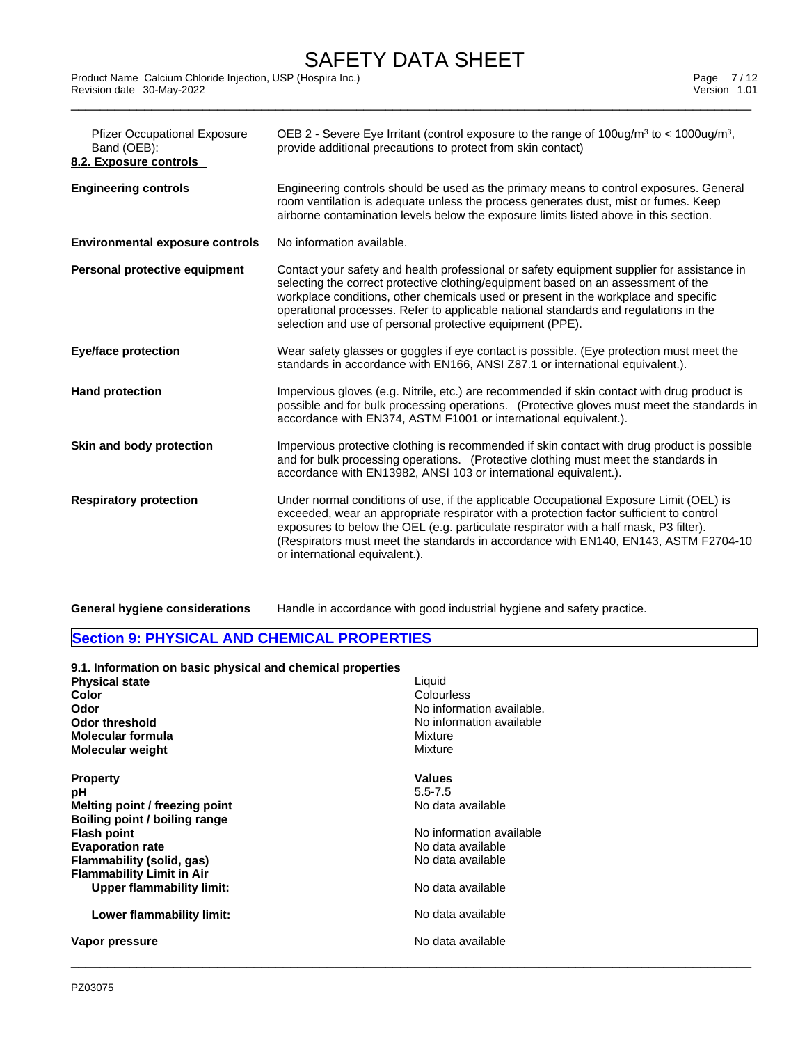Product Name Calcium Chloride Injection, USP (Hospira Inc.)<br>
Revision date 30-May-2022<br>
Version 1.01 Revision date 30-May-2022

| <b>Pfizer Occupational Exposure</b><br>Band (OEB):<br>8.2. Exposure controls | OEB 2 - Severe Eye Irritant (control exposure to the range of 100ug/m <sup>3</sup> to < 1000ug/m <sup>3</sup> ,<br>provide additional precautions to protect from skin contact)                                                                                                                                                                                                                                             |
|------------------------------------------------------------------------------|-----------------------------------------------------------------------------------------------------------------------------------------------------------------------------------------------------------------------------------------------------------------------------------------------------------------------------------------------------------------------------------------------------------------------------|
| <b>Engineering controls</b>                                                  | Engineering controls should be used as the primary means to control exposures. General<br>room ventilation is adequate unless the process generates dust, mist or fumes. Keep<br>airborne contamination levels below the exposure limits listed above in this section.                                                                                                                                                      |
| <b>Environmental exposure controls</b>                                       | No information available.                                                                                                                                                                                                                                                                                                                                                                                                   |
| Personal protective equipment                                                | Contact your safety and health professional or safety equipment supplier for assistance in<br>selecting the correct protective clothing/equipment based on an assessment of the<br>workplace conditions, other chemicals used or present in the workplace and specific<br>operational processes. Refer to applicable national standards and regulations in the<br>selection and use of personal protective equipment (PPE). |
| <b>Eye/face protection</b>                                                   | Wear safety glasses or goggles if eye contact is possible. (Eye protection must meet the<br>standards in accordance with EN166, ANSI Z87.1 or international equivalent.).                                                                                                                                                                                                                                                   |
| <b>Hand protection</b>                                                       | Impervious gloves (e.g. Nitrile, etc.) are recommended if skin contact with drug product is<br>possible and for bulk processing operations. (Protective gloves must meet the standards in<br>accordance with EN374, ASTM F1001 or international equivalent.).                                                                                                                                                               |
| Skin and body protection                                                     | Impervious protective clothing is recommended if skin contact with drug product is possible<br>and for bulk processing operations. (Protective clothing must meet the standards in<br>accordance with EN13982, ANSI 103 or international equivalent.).                                                                                                                                                                      |
| <b>Respiratory protection</b>                                                | Under normal conditions of use, if the applicable Occupational Exposure Limit (OEL) is<br>exceeded, wear an appropriate respirator with a protection factor sufficient to control<br>exposures to below the OEL (e.g. particulate respirator with a half mask, P3 filter).<br>(Respirators must meet the standards in accordance with EN140, EN143, ASTM F2704-10)<br>or international equivalent.).                        |
|                                                                              |                                                                                                                                                                                                                                                                                                                                                                                                                             |

**General hygiene considerations** Handle in accordance with good industrial hygiene and safety practice.

## **Section 9: PHYSICAL AND CHEMICAL PROPERTIES**

| 9.1. Information on basic physical and chemical properties |                           |
|------------------------------------------------------------|---------------------------|
| <b>Physical state</b>                                      | Liquid                    |
| <b>Color</b>                                               | Colourless                |
| Odor                                                       | No information available. |
| <b>Odor threshold</b>                                      | No information available  |
| Molecular formula                                          | Mixture                   |
| <b>Molecular weight</b>                                    | Mixture                   |
| <b>Property</b>                                            | <b>Values</b>             |
| рH                                                         | $5.5 - 7.5$               |
| Melting point / freezing point                             | No data available         |
| Boiling point / boiling range                              |                           |
| <b>Flash point</b>                                         | No information available  |
| <b>Evaporation rate</b>                                    | No data available         |
| Flammability (solid, gas)                                  | No data available         |
| <b>Flammability Limit in Air</b>                           |                           |
| <b>Upper flammability limit:</b>                           | No data available         |
| Lower flammability limit:                                  | No data available         |
| Vapor pressure                                             | No data available         |
|                                                            |                           |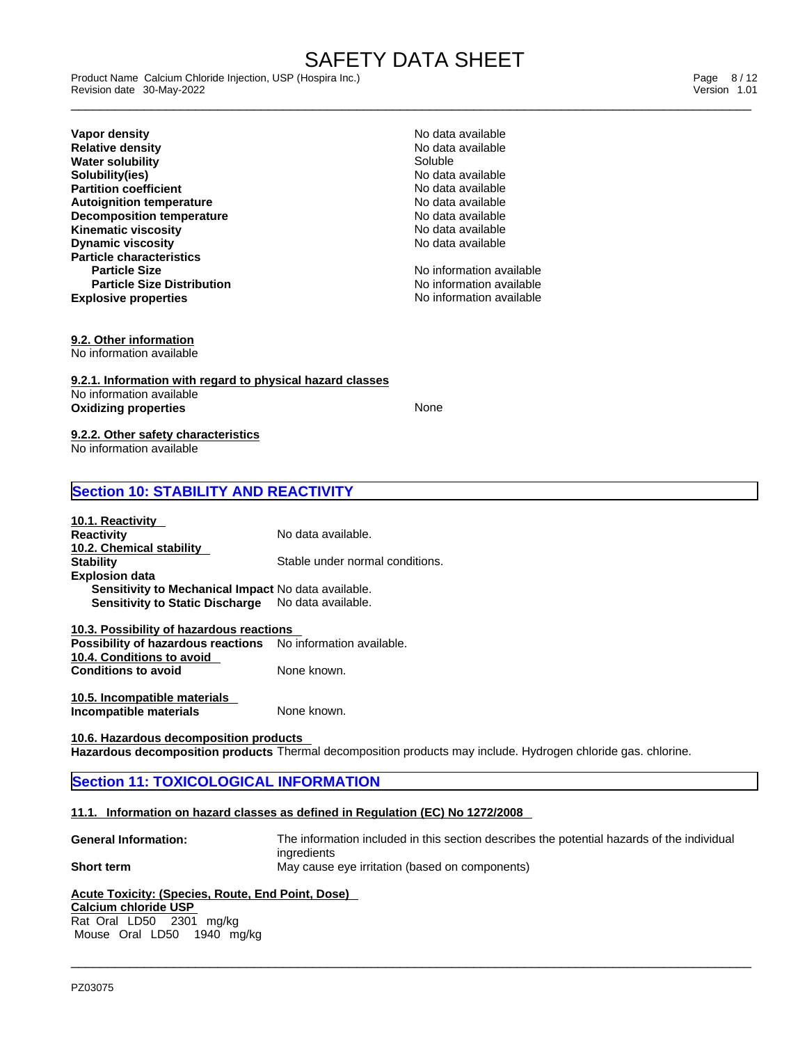\_\_\_\_\_\_\_\_\_\_\_\_\_\_\_\_\_\_\_\_\_\_\_\_\_\_\_\_\_\_\_\_\_\_\_\_\_\_\_\_\_\_\_\_\_\_\_\_\_\_\_\_\_\_\_\_\_\_\_\_\_\_\_\_\_\_\_\_\_\_\_\_\_\_\_\_\_\_\_\_\_\_\_\_\_\_\_\_\_\_\_\_\_ Product Name Calcium Chloride Injection, USP (Hospira Inc.) Page 8 / 12 Revision date 30-May-2022 Version 1.01

**Explosive properties Explosive properties No information available Vapor density and the set of the control of the Vapor density and the Vapor density of the Vapor Section America<br>Relative density and the Vapor Section American Section American Section American Section American Section A Relative density No data as a set of the contract of the Soluble** Modata and Modata and Modata and Modata and Modata and Modata and Modata and Modata and Modata and Modata and Modata and Modata and Modata and Modata and **Water solubility and the solution of the Soluble Soluble Soluble Soluble** Soluble Soluble Soluble Soluble Soluble Soluble Soluble Soluble Soluble Soluble Soluble Soluble Soluble Soluble Soluble Soluble Soluble Soluble Sol **Solubility(ies)**<br> **Partition coefficient**<br> **Partition coefficient Partition coefficient**<br> **Autoignition temperature**<br> **Autoignition temperature**<br> **Autoignition temperature Autoignition temperature**<br> **Decomposition temperature**<br> **Decomposition temperature**<br> **No data available Decomposition temperature Kinematic viscosity No data available No data available Dynamic viscosity No data available No data available No data available Particle characteristics Particle Size No information available No information available Particle Size Distribution**

No information available

**9.2. Other information**

No information available

**9.2.1. Information with regard to physical hazard classes** No information available **Oxidizing properties** None

#### **9.2.2. Other safety characteristics** No information available

## **Section 10: STABILITY AND REACTIVITY**

| 10.1. Reactivity<br><b>Reactivity</b>                      | No data available.              |
|------------------------------------------------------------|---------------------------------|
| 10.2. Chemical stability                                   |                                 |
| <b>Stability</b>                                           | Stable under normal conditions. |
| <b>Explosion data</b>                                      |                                 |
| <b>Sensitivity to Mechanical Impact No data available.</b> |                                 |
| <b>Sensitivity to Static Discharge</b>                     | No data available.              |

**10.3. Possibility of hazardous reactions Possibility of hazardous reactions** No information available. **10.4. Conditions to avoid Conditions to avoid** 

**10.5. Incompatible materials Incompatible materials** 

**10.6. Hazardous decomposition products Hazardous decomposition products** Thermal decomposition products may include. Hydrogen chloride gas. chlorine.

## **Section 11: TOXICOLOGICAL INFORMATION**

## **11.1. Information on hazard classes as defined in Regulation (EC) No 1272/2008**

**General Information:** The information included in this section describes the potential hazards of the individual ingredients **Short term** May cause eye irritation (based on components)

 $\_$  ,  $\_$  ,  $\_$  ,  $\_$  ,  $\_$  ,  $\_$  ,  $\_$  ,  $\_$  ,  $\_$  ,  $\_$  ,  $\_$  ,  $\_$  ,  $\_$  ,  $\_$  ,  $\_$  ,  $\_$  ,  $\_$  ,  $\_$  ,  $\_$  ,  $\_$  ,  $\_$  ,  $\_$  ,  $\_$  ,  $\_$  ,  $\_$  ,  $\_$  ,  $\_$  ,  $\_$  ,  $\_$  ,  $\_$  ,  $\_$  ,  $\_$  ,  $\_$  ,  $\_$  ,  $\_$  ,  $\_$  ,  $\_$  ,

## **Acute Toxicity: (Species, Route, End Point, Dose)**

## **Calcium chloride USP**

Rat Oral LD50 2301 mg/kg Mouse Oral LD50 1940 mg/kg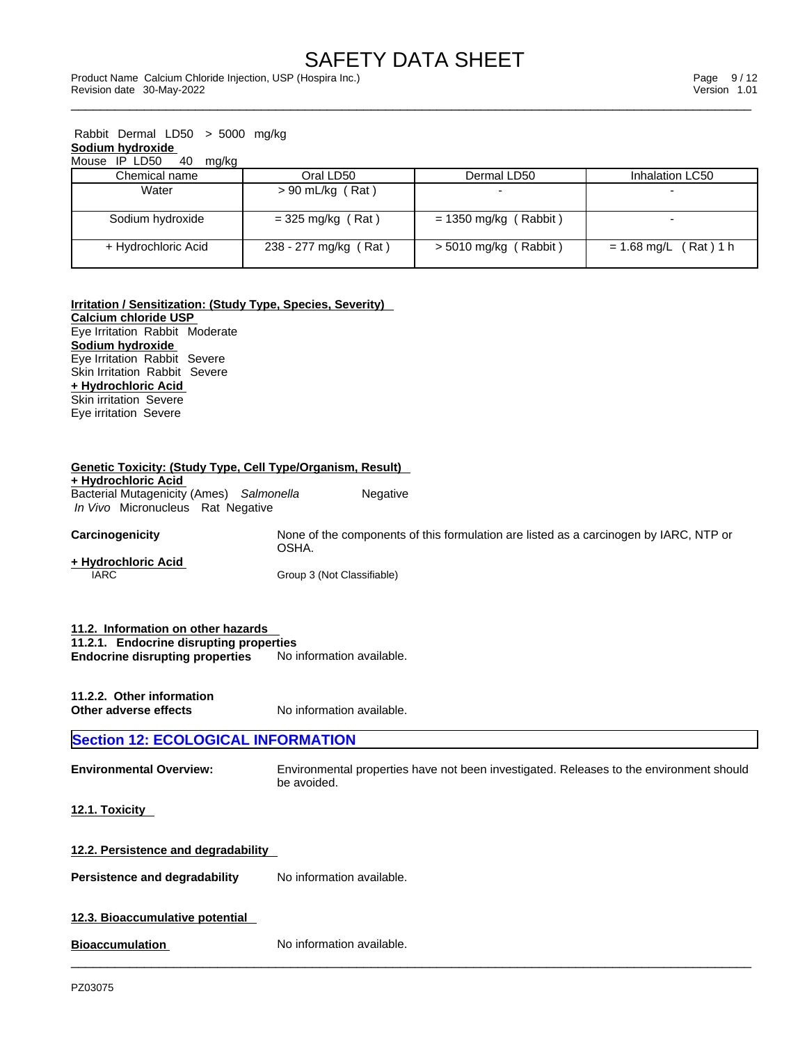| Rabbit Dermal LD50 $>$ 5000 mg/kg |                       |                         |                         |
|-----------------------------------|-----------------------|-------------------------|-------------------------|
| Sodium hydroxide                  |                       |                         |                         |
| Mouse IP LD50<br>40<br>mg/kg      |                       |                         |                         |
| Chemical name                     | Oral LD50             | Dermal LD50             | Inhalation LC50         |
| Water                             | $> 90$ mL/kg (Rat)    |                         |                         |
| Sodium hydroxide                  | $=$ 325 mg/kg (Rat)   | $= 1350$ mg/kg (Rabbit) |                         |
| + Hydrochloric Acid               | 238 - 277 mg/kg (Rat) | $>$ 5010 mg/kg (Rabbit) | $= 1.68$ mg/L (Rat) 1 h |

## **Irritation / Sensitization: (Study Type, Species, Severity)**

**Calcium chloride USP** Eye Irritation Rabbit Moderate **Sodium hydroxide** Eye Irritation Rabbit Severe Skin Irritation Rabbit Severe **+ Hydrochloric Acid** Skin irritation Severe Eye irritation Severe

| <b>Genetic Toxicity: (Study Type, Cell Type/Organism, Result)</b><br>+ Hydrochloric Acid<br>Bacterial Mutagenicity (Ames) Salmonella<br>Negative<br>In Vivo Micronucleus Rat Negative |                                                                                                        |  |  |  |
|---------------------------------------------------------------------------------------------------------------------------------------------------------------------------------------|--------------------------------------------------------------------------------------------------------|--|--|--|
| Carcinogenicity                                                                                                                                                                       | None of the components of this formulation are listed as a carcinogen by IARC, NTP or<br>OSHA.         |  |  |  |
| + Hydrochloric Acid<br><b>IARC</b>                                                                                                                                                    | Group 3 (Not Classifiable)                                                                             |  |  |  |
| 11.2. Information on other hazards<br>11.2.1. Endocrine disrupting properties<br><b>Endocrine disrupting properties</b>                                                               | No information available.                                                                              |  |  |  |
| 11.2.2. Other information<br>Other adverse effects                                                                                                                                    | No information available.                                                                              |  |  |  |
| <b>Section 12: ECOLOGICAL INFORMATION</b>                                                                                                                                             |                                                                                                        |  |  |  |
| <b>Environmental Overview:</b>                                                                                                                                                        | Environmental properties have not been investigated. Releases to the environment should<br>be avoided. |  |  |  |
| 12.1. Toxicity                                                                                                                                                                        |                                                                                                        |  |  |  |
| 12.2. Persistence and degradability                                                                                                                                                   |                                                                                                        |  |  |  |
| Persistence and degradability                                                                                                                                                         | No information available.                                                                              |  |  |  |
| 12.3. Bioaccumulative potential                                                                                                                                                       |                                                                                                        |  |  |  |
| <b>Bioaccumulation</b>                                                                                                                                                                | No information available.                                                                              |  |  |  |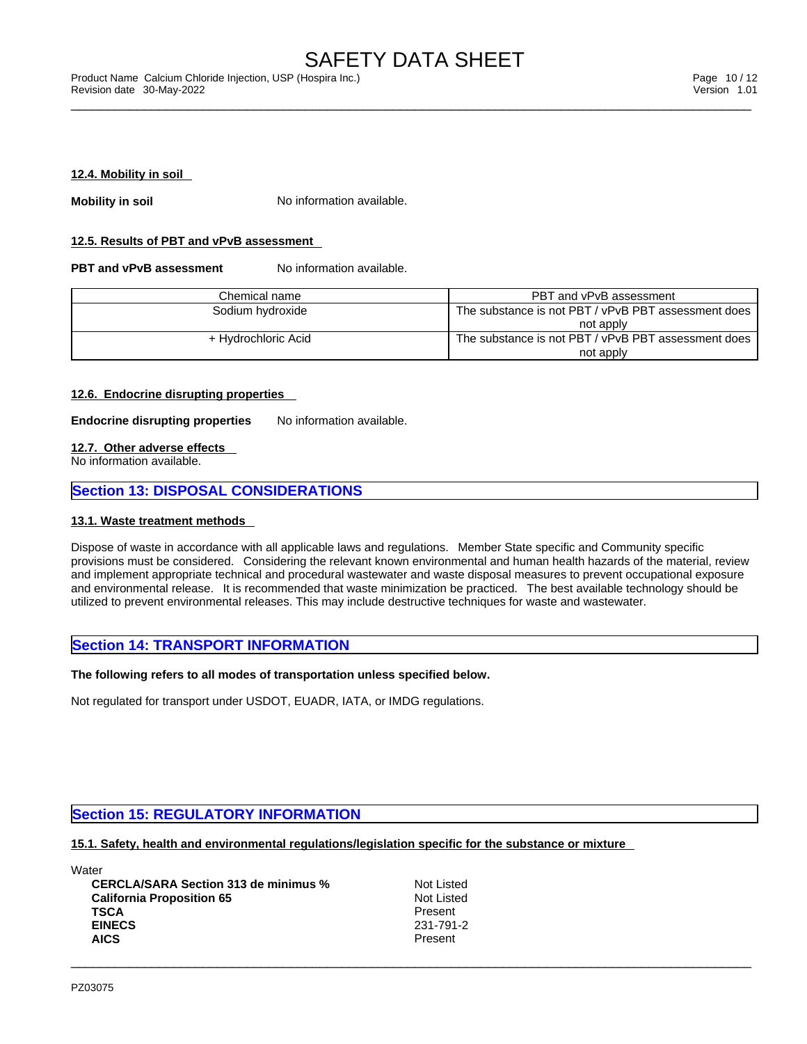\_\_\_\_\_\_\_\_\_\_\_\_\_\_\_\_\_\_\_\_\_\_\_\_\_\_\_\_\_\_\_\_\_\_\_\_\_\_\_\_\_\_\_\_\_\_\_\_\_\_\_\_\_\_\_\_\_\_\_\_\_\_\_\_\_\_\_\_\_\_\_\_\_\_\_\_\_\_\_\_\_\_\_\_\_\_\_\_\_\_\_\_\_ Product Name Calcium Chloride Injection, USP (Hospira Inc.) Page 10 / 12 Revision date 30-May-2022 Version 1.01

#### **12.4. Mobility in soil**

**Mobility in soil** No information available.

### **12.5. Results of PBT and vPvB assessment**

**PBT** and **vPvB** assessment No information available.

| Chemical name       | PBT and vPvB assessment                             |
|---------------------|-----------------------------------------------------|
| Sodium hydroxide    | The substance is not PBT / vPvB PBT assessment does |
|                     | not apply                                           |
| + Hydrochloric Acid | The substance is not PBT / vPvB PBT assessment does |
|                     | not apply                                           |

## **12.6. Endocrine disrupting properties**

**Endocrine disrupting properties** No information available.

#### **12.7. Other adverse effects**

No information available.

## **Section 13: DISPOSAL CONSIDERATIONS**

#### **13.1. Waste treatment methods**

Dispose of waste in accordance with all applicable laws and regulations. Member State specific and Community specific provisions must be considered. Considering the relevant known environmental and human health hazards of the material, review and implement appropriate technical and procedural wastewater and waste disposal measures to prevent occupational exposure and environmental release. It is recommended that waste minimization be practiced. The best available technology should be utilized to prevent environmental releases. This may include destructive techniques for waste and wastewater.

## **Section 14: TRANSPORT INFORMATION**

## **The following refers to all modes of transportation unless specified below.**

Not regulated for transport under USDOT, EUADR, IATA, or IMDG regulations.

## **Section 15: REGULATORY INFORMATION**

## **15.1. Safety, health and environmental regulations/legislation specific for the substance or mixture**

**Water** 

**CERCLA/SARA Section 313 de minimus %** Not Listed<br> **California Proposition 65** Not Listed **California Proposition 65**<br> **TSCA** Present **TSCA** Present **EINECS** 231-791-2 **AICS** Present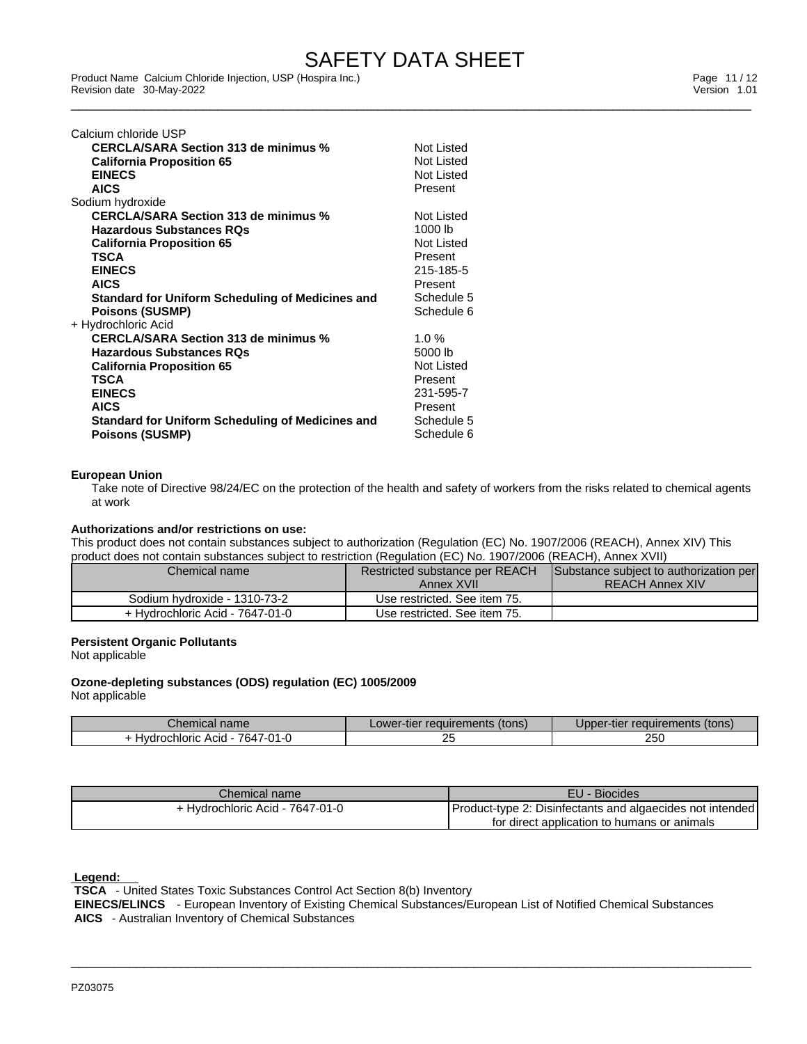\_\_\_\_\_\_\_\_\_\_\_\_\_\_\_\_\_\_\_\_\_\_\_\_\_\_\_\_\_\_\_\_\_\_\_\_\_\_\_\_\_\_\_\_\_\_\_\_\_\_\_\_\_\_\_\_\_\_\_\_\_\_\_\_\_\_\_\_\_\_\_\_\_\_\_\_\_\_\_\_\_\_\_\_\_\_\_\_\_\_\_\_\_ Product Name Calcium Chloride Injection, USP (Hospira Inc.) Page 11 / 12 Revision date 30-May-2022 Version 1.01

| Calcium chloride USP                                    |            |
|---------------------------------------------------------|------------|
| <b>CERCLA/SARA Section 313 de minimus %</b>             | Not Listed |
| <b>California Proposition 65</b>                        | Not Listed |
| <b>EINECS</b>                                           | Not Listed |
| <b>AICS</b>                                             | Present    |
| Sodium hydroxide                                        |            |
| <b>CERCLA/SARA Section 313 de minimus %</b>             | Not Listed |
| <b>Hazardous Substances RQs</b>                         | 1000 lb    |
| <b>California Proposition 65</b>                        | Not Listed |
| TSCA                                                    | Present    |
| <b>EINECS</b>                                           | 215-185-5  |
| <b>AICS</b>                                             | Present    |
| <b>Standard for Uniform Scheduling of Medicines and</b> | Schedule 5 |
| <b>Poisons (SUSMP)</b>                                  | Schedule 6 |
| + Hydrochloric Acid                                     |            |
| <b>CERCLA/SARA Section 313 de minimus %</b>             | $1.0 \%$   |
| <b>Hazardous Substances RQs</b>                         | 5000 lb    |
| <b>California Proposition 65</b>                        | Not Listed |
| TSCA                                                    | Present    |
| <b>EINECS</b>                                           | 231-595-7  |
| <b>AICS</b>                                             | Present    |
| Standard for Uniform Scheduling of Medicines and        | Schedule 5 |
| <b>Poisons (SUSMP)</b>                                  | Schedule 6 |
|                                                         |            |

#### **European Union**

Take note of Directive 98/24/EC on the protection of the health and safety of workers from the risks related to chemical agents at work

## **Authorizations and/or restrictions on use:**

This product does not contain substances subject to authorization (Regulation (EC) No. 1907/2006 (REACH), Annex XIV) This product does not contain substances subject to restriction (Regulation (EC) No. 1907/2006 (REACH), Annex XVII)

| Chemical name                   | Restricted substance per REACH | Substance subject to authorization per |
|---------------------------------|--------------------------------|----------------------------------------|
|                                 | Annex XVII                     | <b>REACH Annex XIV</b>                 |
| Sodium hydroxide - 1310-73-2    | Use restricted. See item 75.   |                                        |
| + Hydrochloric Acid - 7647-01-0 | Use restricted. See item 75.   |                                        |

## **Persistent Organic Pollutants**

Not applicable

#### **Ozone-depleting substances (ODS) regulation (EC) 1005/2009** Not applicable

| nome<br>⊃nemical r<br>name                     | requirements<br>tons)<br>วwer-tier | (tons)<br>, requirements<br>™∃lle.<br>uooer |
|------------------------------------------------|------------------------------------|---------------------------------------------|
| 7647-0.<br>hloric<br>Acid<br>$\mathbf{v}$<br>. | ້                                  | 250                                         |

| Chemical name i                 | EU<br>- Biocides                                            |
|---------------------------------|-------------------------------------------------------------|
| + Hydrochloric Acid - 7647-01-0 | (Product-type 2: Disinfectants and algaecides not intended) |
|                                 | for direct application to humans or animals                 |

 **Legend:** 

 **TSCA** - United States Toxic Substances Control Act Section 8(b) Inventory

 **EINECS/ELINCS** - European Inventory of Existing Chemical Substances/European List of Notified Chemical Substances  **AICS** - Australian Inventory of Chemical Substances